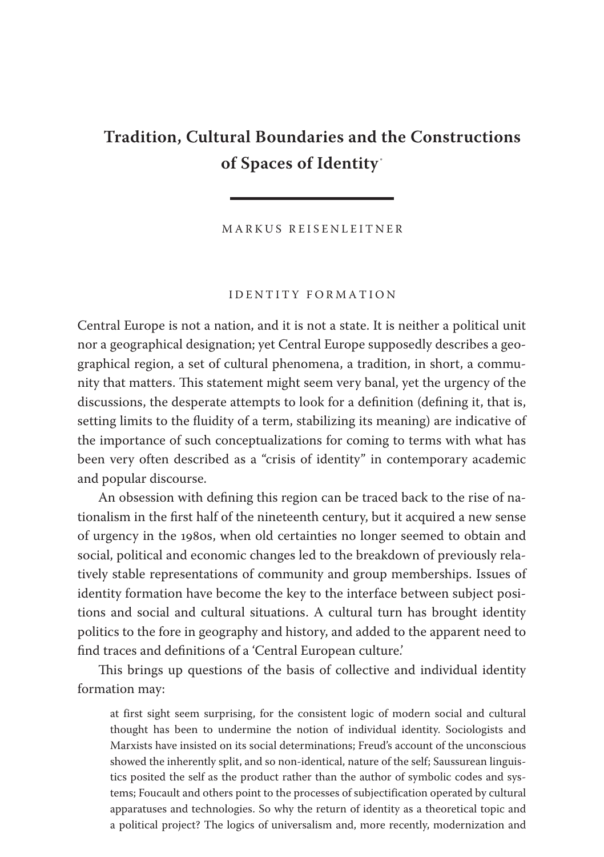# **Tradition, Cultural Boundaries and the Constructions of Spaces of Identity** \*

M A R K U S R E I S E N L E I T N E R

#### I D E N T I T Y F O R M A T I O N

Central Europe is not a nation, and it is not a state. It is neither a political unit nor a geographical designation; yet Central Europe supposedly describes a geographical region, a set of cultural phenomena, a tradition, in short, a community that matters. This statement might seem very banal, yet the urgency of the discussions, the desperate attempts to look for a definition (defining it, that is, setting limits to the fluidity of a term, stabilizing its meaning) are indicative of the importance of such conceptualizations for coming to terms with what has been very often described as a "crisis of identity" in contemporary academic and popular discourse.

An obsession with defining this region can be traced back to the rise of nationalism in the first half of the nineteenth century, but it acquired a new sense of urgency in the 1980s, when old certainties no longer seemed to obtain and social, political and economic changes led to the breakdown of previously relatively stable representations of community and group memberships. Issues of identity formation have become the key to the interface between subject positions and social and cultural situations. A cultural turn has brought identity politics to the fore in geography and history, and added to the apparent need to find traces and definitions of a 'Central European culture.'

This brings up questions of the basis of collective and individual identity formation may:

at first sight seem surprising, for the consistent logic of modern social and cultural thought has been to undermine the notion of individual identity. Sociologists and Marxists have insisted on its social determinations; Freud's account of the unconscious showed the inherently split, and so non-identical, nature of the self; Saussurean linguistics posited the self as the product rather than the author of symbolic codes and systems; Foucault and others point to the processes of subjectification operated by cultural apparatuses and technologies. So why the return of identity as a theoretical topic and a political project? The logics of universalism and, more recently, modernization and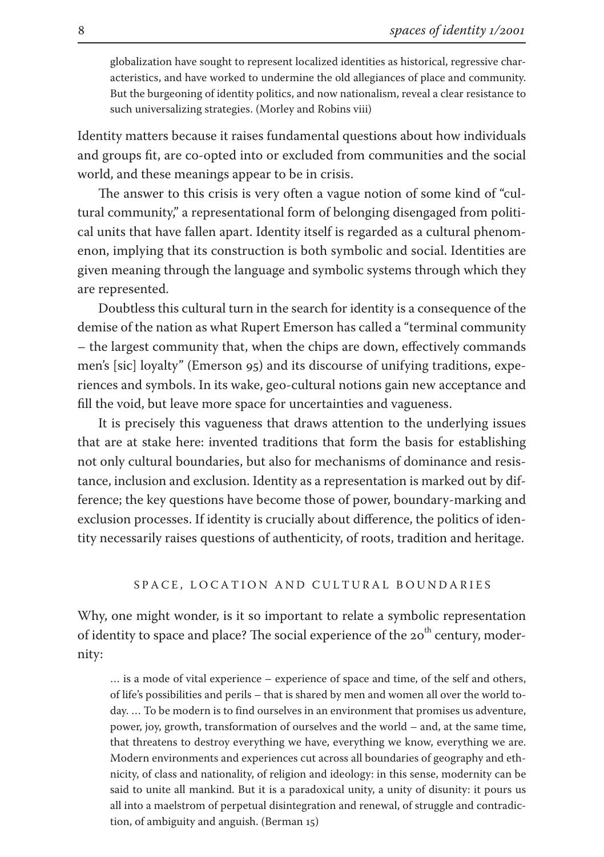globalization have sought to represent localized identities as historical, regressive characteristics, and have worked to undermine the old allegiances of place and community. But the burgeoning of identity politics, and now nationalism, reveal a clear resistance to such universalizing strategies. (Morley and Robins viii)

Identity matters because it raises fundamental questions about how individuals and groups fit, are co-opted into or excluded from communities and the social world, and these meanings appear to be in crisis.

The answer to this crisis is very often a vague notion of some kind of "cultural community," a representational form of belonging disengaged from political units that have fallen apart. Identity itself is regarded as a cultural phenomenon, implying that its construction is both symbolic and social. Identities are given meaning through the language and symbolic systems through which they are represented.

Doubtless this cultural turn in the search for identity is a consequence of the demise of the nation as what Rupert Emerson has called a "terminal community – the largest community that, when the chips are down, effectively commands men's [sic] loyalty" (Emerson  $95$ ) and its discourse of unifying traditions, experiences and symbols. In its wake, geo-cultural notions gain new acceptance and fill the void, but leave more space for uncertainties and vagueness.

It is precisely this vagueness that draws attention to the underlying issues that are at stake here: invented traditions that form the basis for establishing not only cultural boundaries, but also for mechanisms of dominance and resistance, inclusion and exclusion. Identity as a representation is marked out by difference; the key questions have become those of power, boundary-marking and exclusion processes. If identity is crucially about difference, the politics of identity necessarily raises questions of authenticity, of roots, tradition and heritage.

## SPACE, LOCATION AND CULTURAL BOUNDARIES

Why, one might wonder, is it so important to relate a symbolic representation of identity to space and place? The social experience of the 20<sup>th</sup> century, modernity:

… is a mode of vital experience – experience of space and time, of the self and others, of life's possibilities and perils – that is shared by men and women all over the world today. … To be modern is to find ourselves in an environment that promises us adventure, power, joy, growth, transformation of ourselves and the world – and, at the same time, that threatens to destroy everything we have, everything we know, everything we are. Modern environments and experiences cut across all boundaries of geography and ethnicity, of class and nationality, of religion and ideology: in this sense, modernity can be said to unite all mankind. But it is a paradoxical unity, a unity of disunity: it pours us all into a maelstrom of perpetual disintegration and renewal, of struggle and contradiction, of ambiguity and anguish. (Berman  $15$ )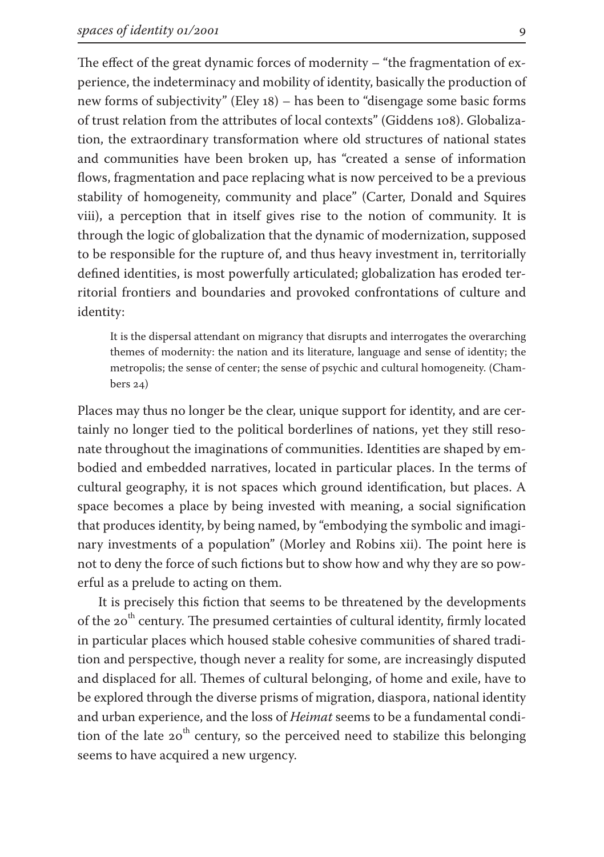The effect of the great dynamic forces of modernity – "the fragmentation of experience, the indeterminacy and mobility of identity, basically the production of new forms of subjectivity" (Eley 18) – has been to "disengage some basic forms of trust relation from the attributes of local contexts" (Giddens 108). Globalization, the extraordinary transformation where old structures of national states and communities have been broken up, has "created a sense of information flows, fragmentation and pace replacing what is now perceived to be a previous stability of homogeneity, community and place" (Carter, Donald and Squires viii), a perception that in itself gives rise to the notion of community. It is through the logic of globalization that the dynamic of modernization, supposed to be responsible for the rupture of, and thus heavy investment in, territorially defined identities, is most powerfully articulated; globalization has eroded territorial frontiers and boundaries and provoked confrontations of culture and identity:

It is the dispersal attendant on migrancy that disrupts and interrogates the overarching themes of modernity: the nation and its literature, language and sense of identity; the metropolis; the sense of center; the sense of psychic and cultural homogeneity. (Chambers  $24)$ 

Places may thus no longer be the clear, unique support for identity, and are certainly no longer tied to the political borderlines of nations, yet they still resonate throughout the imaginations of communities. Identities are shaped by embodied and embedded narratives, located in particular places. In the terms of cultural geography, it is not spaces which ground identification, but places. A space becomes a place by being invested with meaning, a social signification that produces identity, by being named, by "embodying the symbolic and imaginary investments of a population" (Morley and Robins xii). The point here is not to deny the force of such fictions but to show how and why they are so powerful as a prelude to acting on them.

It is precisely this fiction that seems to be threatened by the developments of the 20<sup>th</sup> century. The presumed certainties of cultural identity, firmly located in particular places which housed stable cohesive communities of shared tradition and perspective, though never a reality for some, are increasingly disputed and displaced for all. Themes of cultural belonging, of home and exile, have to be explored through the diverse prisms of migration, diaspora, national identity and urban experience, and the loss of *Heimat* seems to be a fundamental condition of the late  $20<sup>th</sup>$  century, so the perceived need to stabilize this belonging seems to have acquired a new urgency.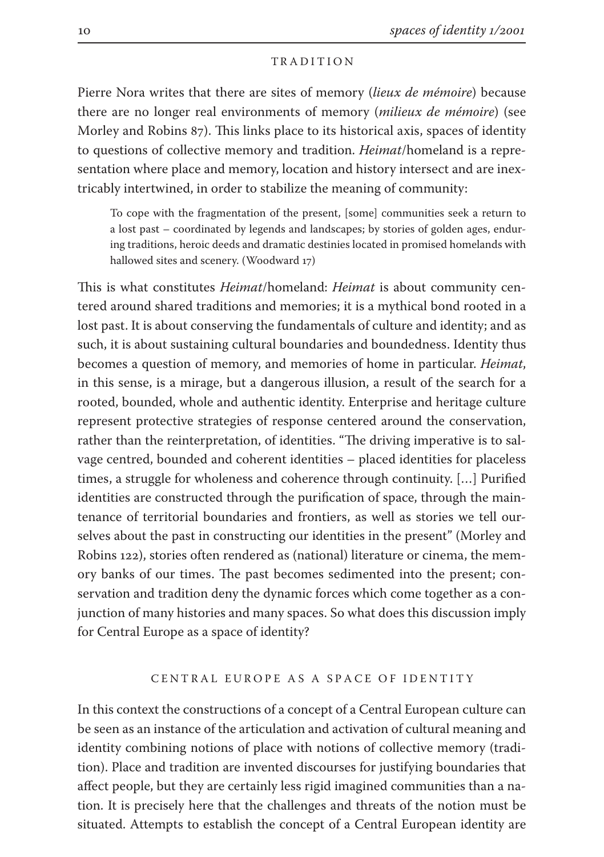#### T R A D I T I O N

Pierre Nora writes that there are sites of memory (*lieux de mémoire*) because there are no longer real environments of memory (*milieux de mémoire*) (see Morley and Robins 87). This links place to its historical axis, spaces of identity to questions of collective memory and tradition. *Heimat*/homeland is a representation where place and memory, location and history intersect and are inextricably intertwined, in order to stabilize the meaning of community:

To cope with the fragmentation of the present, [some] communities seek a return to a lost past – coordinated by legends and landscapes; by stories of golden ages, enduring traditions, heroic deeds and dramatic destinies located in promised homelands with hallowed sites and scenery. (Woodward 17)

This is what constitutes *Heimat*/homeland: *Heimat* is about community centered around shared traditions and memories; it is a mythical bond rooted in a lost past. It is about conserving the fundamentals of culture and identity; and as such, it is about sustaining cultural boundaries and boundedness. Identity thus becomes a question of memory, and memories of home in particular. *Heimat*, in this sense, is a mirage, but a dangerous illusion, a result of the search for a rooted, bounded, whole and authentic identity. Enterprise and heritage culture represent protective strategies of response centered around the conservation, rather than the reinterpretation, of identities. "The driving imperative is to salvage centred, bounded and coherent identities – placed identities for placeless times, a struggle for wholeness and coherence through continuity. […] Purified identities are constructed through the purification of space, through the maintenance of territorial boundaries and frontiers, as well as stories we tell ourselves about the past in constructing our identities in the present" (Morley and Robins 122), stories often rendered as (national) literature or cinema, the memory banks of our times. The past becomes sedimented into the present; conservation and tradition deny the dynamic forces which come together as a conjunction of many histories and many spaces. So what does this discussion imply for Central Europe as a space of identity?

### CENTRAL EUROPE AS A SPACE OF IDENTITY

In this context the constructions of a concept of a Central European culture can be seen as an instance of the articulation and activation of cultural meaning and identity combining notions of place with notions of collective memory (tradition). Place and tradition are invented discourses for justifying boundaries that affect people, but they are certainly less rigid imagined communities than a nation. It is precisely here that the challenges and threats of the notion must be situated. Attempts to establish the concept of a Central European identity are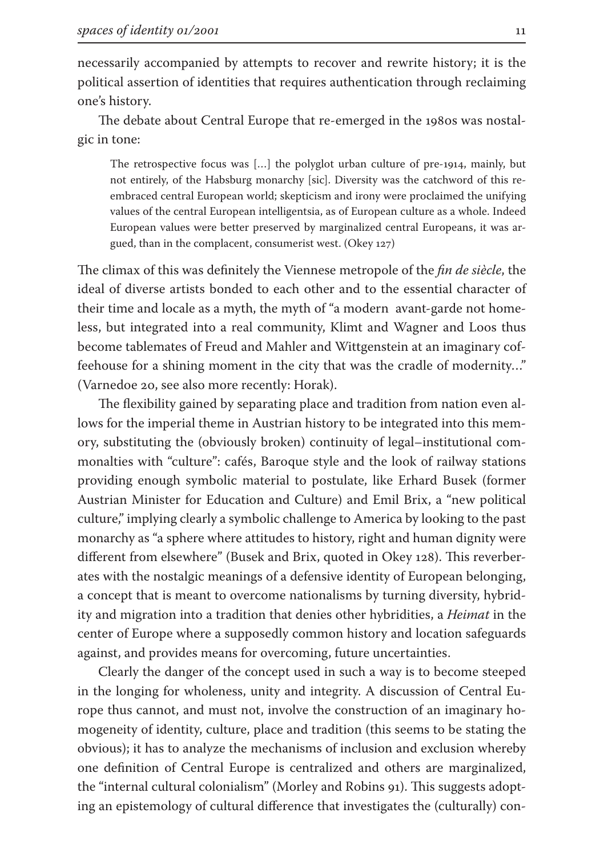necessarily accompanied by attempts to recover and rewrite history; it is the political assertion of identities that requires authentication through reclaiming one's history.

The debate about Central Europe that re-emerged in the 1980s was nostalgic in tone:

The retrospective focus was [...] the polyglot urban culture of pre-1914, mainly, but not entirely, of the Habsburg monarchy [sic]. Diversity was the catchword of this reembraced central European world; skepticism and irony were proclaimed the unifying values of the central European intelligentsia, as of European culture as a whole. Indeed European values were better preserved by marginalized central Europeans, it was argued, than in the complacent, consumerist west. (Okey 127)

The climax of this was definitely the Viennese metropole of the *fin de siècle*, the ideal of diverse artists bonded to each other and to the essential character of their time and locale as a myth, the myth of "a modern avant-garde not homeless, but integrated into a real community, Klimt and Wagner and Loos thus become tablemates of Freud and Mahler and Wittgenstein at an imaginary coffeehouse for a shining moment in the city that was the cradle of modernity…" (Varnedoe 20, see also more recently: Horak).

The flexibility gained by separating place and tradition from nation even allows for the imperial theme in Austrian history to be integrated into this memory, substituting the (obviously broken) continuity of legal–institutional commonalties with "culture": cafés, Baroque style and the look of railway stations providing enough symbolic material to postulate, like Erhard Busek (former Austrian Minister for Education and Culture) and Emil Brix, a "new political culture," implying clearly a symbolic challenge to America by looking to the past monarchy as "a sphere where attitudes to history, right and human dignity were different from elsewhere" (Busek and Brix, quoted in Okey 128). This reverberates with the nostalgic meanings of a defensive identity of European belonging, a concept that is meant to overcome nationalisms by turning diversity, hybridity and migration into a tradition that denies other hybridities, a *Heimat* in the center of Europe where a supposedly common history and location safeguards against, and provides means for overcoming, future uncertainties.

Clearly the danger of the concept used in such a way is to become steeped in the longing for wholeness, unity and integrity. A discussion of Central Europe thus cannot, and must not, involve the construction of an imaginary homogeneity of identity, culture, place and tradition (this seems to be stating the obvious); it has to analyze the mechanisms of inclusion and exclusion whereby one definition of Central Europe is centralized and others are marginalized, the "internal cultural colonialism" (Morley and Robins 91). This suggests adopting an epistemology of cultural difference that investigates the (culturally) con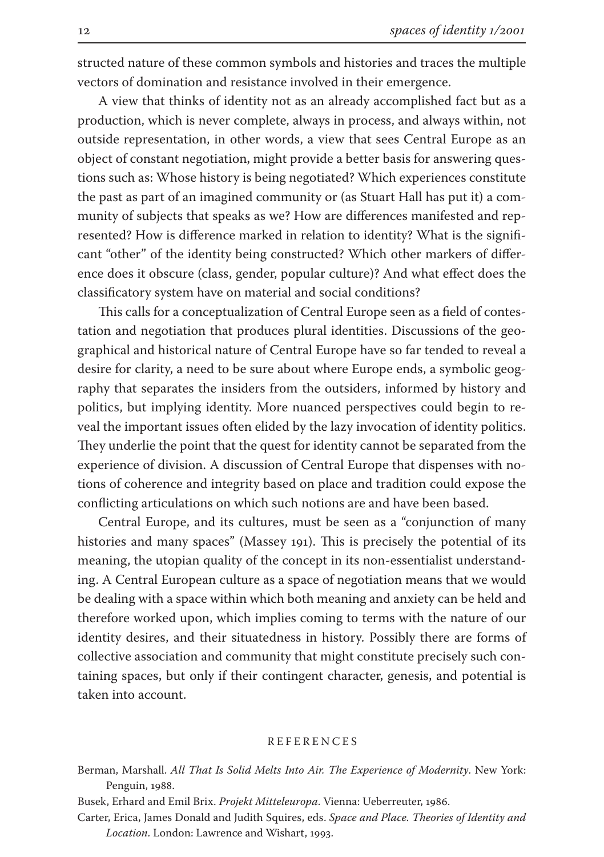structed nature of these common symbols and histories and traces the multiple vectors of domination and resistance involved in their emergence.

A view that thinks of identity not as an already accomplished fact but as a production, which is never complete, always in process, and always within, not outside representation, in other words, a view that sees Central Europe as an object of constant negotiation, might provide a better basis for answering questions such as: Whose history is being negotiated? Which experiences constitute the past as part of an imagined community or (as Stuart Hall has put it) a community of subjects that speaks as we? How are differences manifested and represented? How is difference marked in relation to identity? What is the significant "other" of the identity being constructed? Which other markers of difference does it obscure (class, gender, popular culture)? And what effect does the classificatory system have on material and social conditions?

This calls for a conceptualization of Central Europe seen as a field of contestation and negotiation that produces plural identities. Discussions of the geographical and historical nature of Central Europe have so far tended to reveal a desire for clarity, a need to be sure about where Europe ends, a symbolic geography that separates the insiders from the outsiders, informed by history and politics, but implying identity. More nuanced perspectives could begin to reveal the important issues often elided by the lazy invocation of identity politics. They underlie the point that the quest for identity cannot be separated from the experience of division. A discussion of Central Europe that dispenses with notions of coherence and integrity based on place and tradition could expose the conflicting articulations on which such notions are and have been based.

Central Europe, and its cultures, must be seen as a "conjunction of many histories and many spaces" (Massey 191). This is precisely the potential of its meaning, the utopian quality of the concept in its non-essentialist understanding. A Central European culture as a space of negotiation means that we would be dealing with a space within which both meaning and anxiety can be held and therefore worked upon, which implies coming to terms with the nature of our identity desires, and their situatedness in history. Possibly there are forms of collective association and community that might constitute precisely such containing spaces, but only if their contingent character, genesis, and potential is taken into account.

## R E F E R E N C E S

- Berman, Marshall. *All That Is Solid Melts Into Air. The Experience of Modernity*. New York: Penguin, 1988.
- Busek, Erhard and Emil Brix. *Projekt Mitteleuropa*. Vienna: Ueberreuter, 1986.
- Carter, Erica, James Donald and Judith Squires, eds. *Space and Place. Theories of Identity and Location*. London: Lawrence and Wishart, 1993.